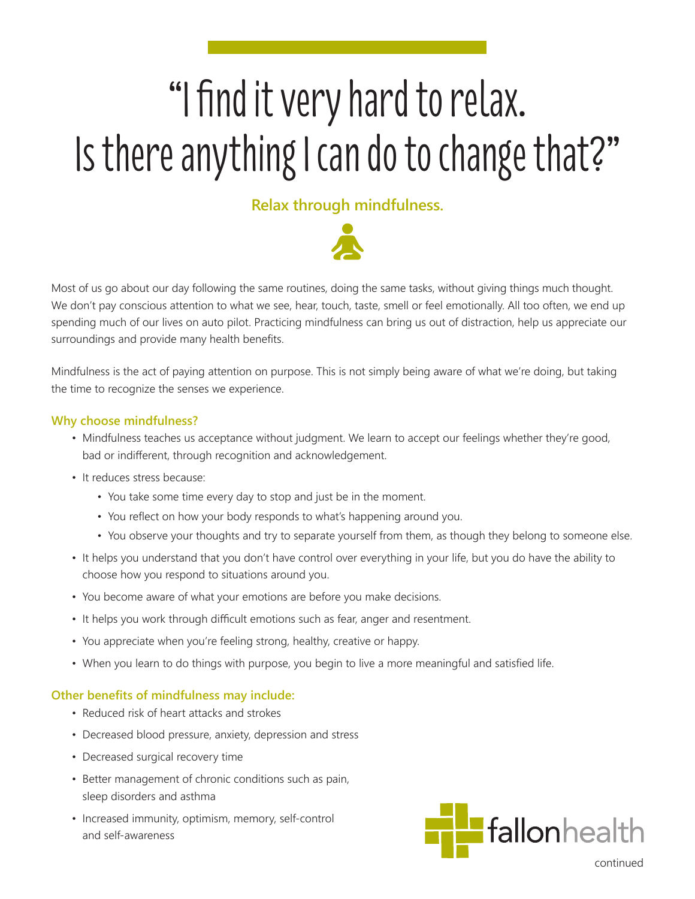# "I find it very hard to relax. Is there anything I can do to change that?"

# **Relax through mindfulness.**



Most of us go about our day following the same routines, doing the same tasks, without giving things much thought. We don't pay conscious attention to what we see, hear, touch, taste, smell or feel emotionally. All too often, we end up spending much of our lives on auto pilot. Practicing mindfulness can bring us out of distraction, help us appreciate our surroundings and provide many health benefits.

Mindfulness is the act of paying attention on purpose. This is not simply being aware of what we're doing, but taking the time to recognize the senses we experience.

## **Why choose mindfulness?**

- Mindfulness teaches us acceptance without judgment. We learn to accept our feelings whether they're good, bad or indifferent, through recognition and acknowledgement.
- It reduces stress because:
	- You take some time every day to stop and just be in the moment.
	- You reflect on how your body responds to what's happening around you.
	- You observe your thoughts and try to separate yourself from them, as though they belong to someone else.
- It helps you understand that you don't have control over everything in your life, but you do have the ability to choose how you respond to situations around you.
- You become aware of what your emotions are before you make decisions.
- It helps you work through difficult emotions such as fear, anger and resentment.
- You appreciate when you're feeling strong, healthy, creative or happy.
- When you learn to do things with purpose, you begin to live a more meaningful and satisfied life.

### **Other benefits of mindfulness may include:**

- Reduced risk of heart attacks and strokes
- Decreased blood pressure, anxiety, depression and stress
- Decreased surgical recovery time
- Better management of chronic conditions such as pain, sleep disorders and asthma
- Increased immunity, optimism, memory, self-control and self-awareness